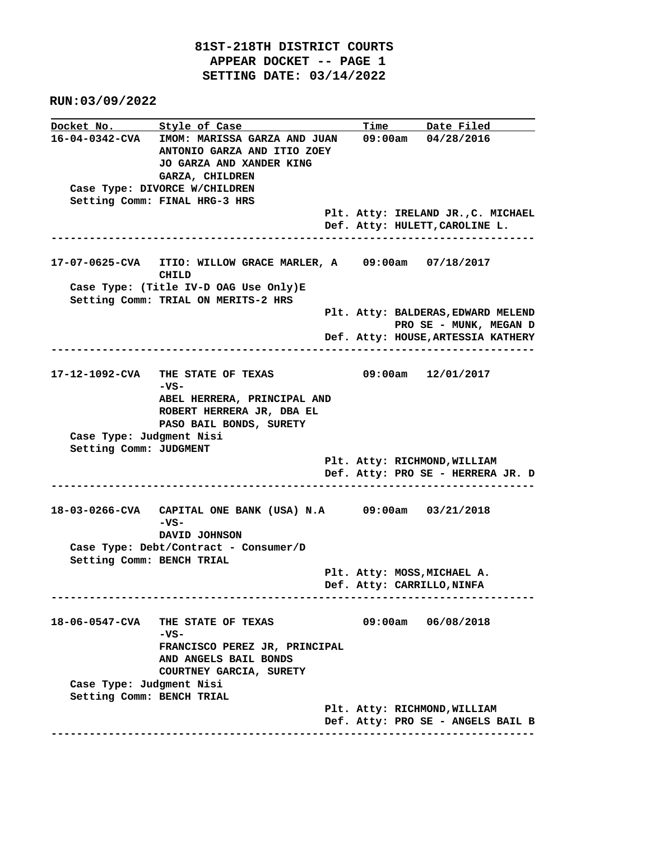**RUN:03/09/2022**

**Docket No.** Style of Case Time Date Filed **16-04-0342-CVA IMOM: MARISSA GARZA AND JUAN 09:00am 04/28/2016 ANTONIO GARZA AND ITIO ZOEY JO GARZA AND XANDER KING GARZA, CHILDREN Case Type: DIVORCE W/CHILDREN Setting Comm: FINAL HRG-3 HRS Plt. Atty: IRELAND JR.,C. MICHAEL Def. Atty: HULETT,CAROLINE L. ---------------------------------------------------------------------------- 17-07-0625-CVA ITIO: WILLOW GRACE MARLER, A 09:00am 07/18/2017 CHILD Case Type: (Title IV-D OAG Use Only)E Setting Comm: TRIAL ON MERITS-2 HRS Plt. Atty: BALDERAS,EDWARD MELEND PRO SE - MUNK, MEGAN D Def. Atty: HOUSE,ARTESSIA KATHERY ---------------------------------------------------------------------------- 17-12-1092-CVA THE STATE OF TEXAS 09:00am 12/01/2017 -VS- ABEL HERRERA, PRINCIPAL AND ROBERT HERRERA JR, DBA EL PASO BAIL BONDS, SURETY Case Type: Judgment Nisi Setting Comm: JUDGMENT Plt. Atty: RICHMOND,WILLIAM Def. Atty: PRO SE - HERRERA JR. D ---------------------------------------------------------------------------- 18-03-0266-CVA CAPITAL ONE BANK (USA) N.A 09:00am 03/21/2018 -VS- DAVID JOHNSON Case Type: Debt/Contract - Consumer/D Setting Comm: BENCH TRIAL Plt. Atty: MOSS,MICHAEL A. Def. Atty: CARRILLO,NINFA ---------------------------------------------------------------------------- 18-06-0547-CVA THE STATE OF TEXAS 09:00am 06/08/2018 -VS- FRANCISCO PEREZ JR, PRINCIPAL AND ANGELS BAIL BONDS COURTNEY GARCIA, SURETY Case Type: Judgment Nisi Setting Comm: BENCH TRIAL Plt. Atty: RICHMOND,WILLIAM Def. Atty: PRO SE - ANGELS BAIL B ----------------------------------------------------------------------------**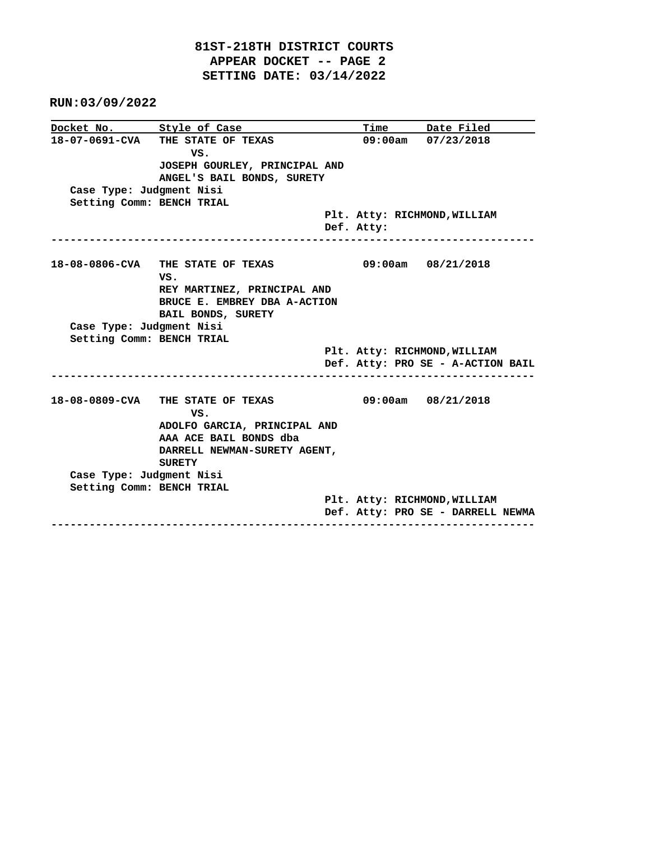**RUN:03/09/2022**

|                           | Docket No. Style of Case                 |                              | Time Date Filed                   |  |  |  |
|---------------------------|------------------------------------------|------------------------------|-----------------------------------|--|--|--|
|                           | 18-07-0691-CVA THE STATE OF TEXAS<br>VS. |                              | $09:00am$ $07/23/2018$            |  |  |  |
|                           | JOSEPH GOURLEY, PRINCIPAL AND            |                              |                                   |  |  |  |
|                           | ANGEL'S BAIL BONDS, SURETY               |                              |                                   |  |  |  |
| Case Type: Judgment Nisi  |                                          |                              |                                   |  |  |  |
| Setting Comm: BENCH TRIAL |                                          |                              |                                   |  |  |  |
|                           |                                          | Plt. Atty: RICHMOND, WILLIAM |                                   |  |  |  |
|                           |                                          | Def. Atty:                   |                                   |  |  |  |
|                           | 18-08-0806-CVA THE STATE OF TEXAS        |                              | 09:00am 08/21/2018                |  |  |  |
|                           | VS.                                      |                              |                                   |  |  |  |
|                           | REY MARTINEZ, PRINCIPAL AND              |                              |                                   |  |  |  |
|                           | BRUCE E. EMBREY DBA A-ACTION             |                              |                                   |  |  |  |
|                           | BAIL BONDS, SURETY                       |                              |                                   |  |  |  |
| Case Type: Judgment Nisi  |                                          |                              |                                   |  |  |  |
| Setting Comm: BENCH TRIAL |                                          |                              |                                   |  |  |  |
|                           |                                          |                              | Plt. Atty: RICHMOND, WILLIAM      |  |  |  |
|                           |                                          |                              | Def. Atty: PRO SE - A-ACTION BAIL |  |  |  |
|                           | 18-08-0809-CVA THE STATE OF TEXAS        |                              | $09:00am$ $08/21/2018$            |  |  |  |
|                           | VS.                                      |                              |                                   |  |  |  |
|                           | ADOLFO GARCIA, PRINCIPAL AND             |                              |                                   |  |  |  |
|                           | AAA ACE BAIL BONDS dba                   |                              |                                   |  |  |  |
|                           | DARRELL NEWMAN-SURETY AGENT,             |                              |                                   |  |  |  |
|                           | <b>SURETY</b>                            |                              |                                   |  |  |  |
| Case Type: Judgment Nisi  |                                          |                              |                                   |  |  |  |
| Setting Comm: BENCH TRIAL |                                          |                              |                                   |  |  |  |
|                           |                                          |                              | Plt. Atty: RICHMOND, WILLIAM      |  |  |  |
|                           |                                          |                              | Def. Atty: PRO SE - DARRELL NEWMA |  |  |  |
|                           |                                          |                              |                                   |  |  |  |